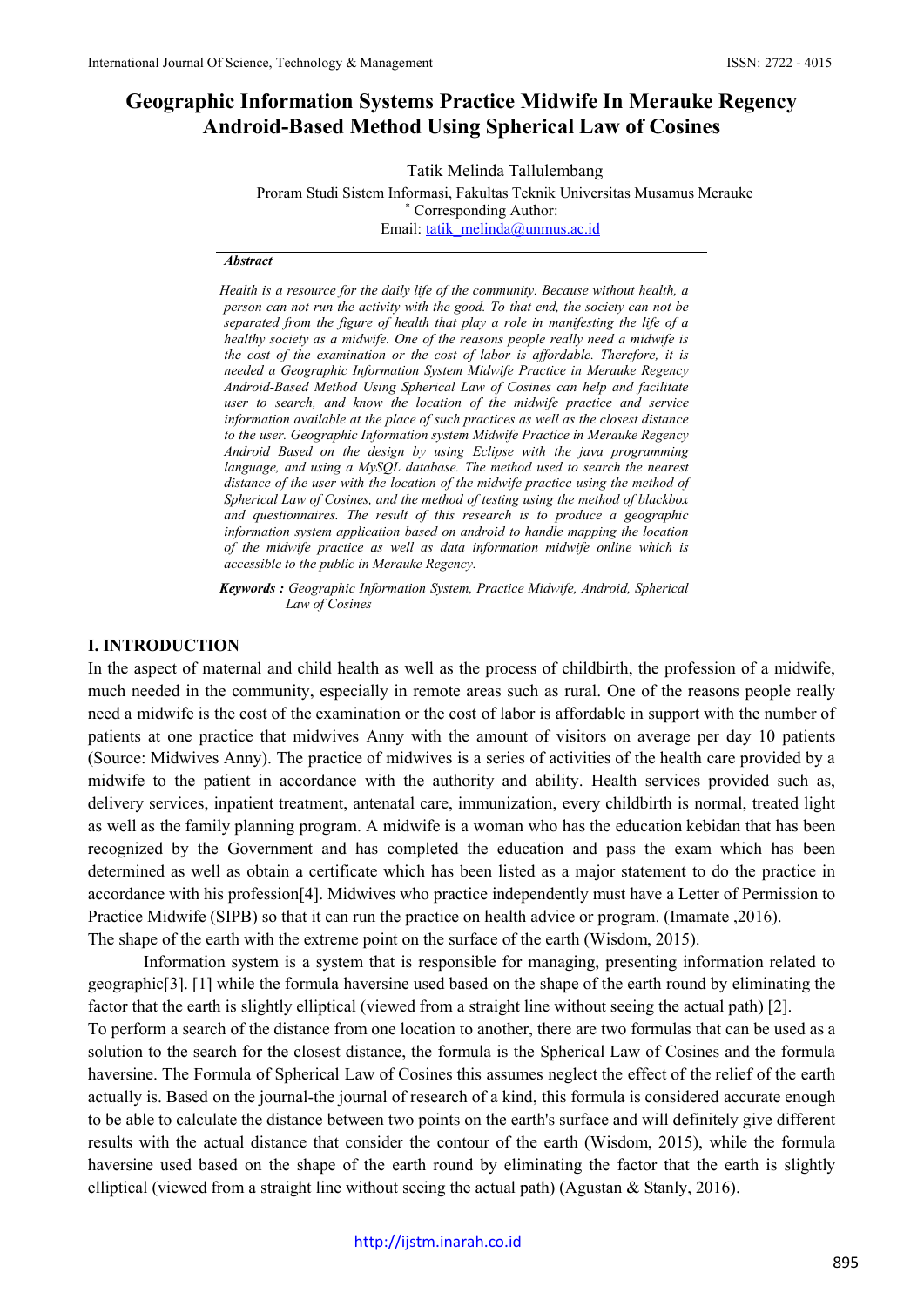# **Geographic Information Systems Practice Midwife In Merauke Regency Android-Based Method Using Spherical Law of Cosines**

Tatik Melinda Tallulembang

Proram Studi Sistem Informasi, Fakultas Teknik Universitas Musamus Merauke \* Corresponding Author: Email: [tatik\\_melinda@unmus.ac.id](mailto:tatik_melinda@unmus.ac.id)

#### *Abstract*

*Health is a resource for the daily life of the community. Because without health, a person can not run the activity with the good. To that end, the society can not be separated from the figure of health that play a role in manifesting the life of a healthy society as a midwife. One of the reasons people really need a midwife is the cost of the examination or the cost of labor is affordable. Therefore, it is needed a Geographic Information System Midwife Practice in Merauke Regency Android-Based Method Using Spherical Law of Cosines can help and facilitate user to search, and know the location of the midwife practice and service information available at the place of such practices as well as the closest distance to the user. Geographic Information system Midwife Practice in Merauke Regency Android Based on the design by using Eclipse with the java programming language, and using a MySQL database. The method used to search the nearest distance of the user with the location of the midwife practice using the method of Spherical Law of Cosines, and the method of testing using the method of blackbox and questionnaires. The result of this research is to produce a geographic information system application based on android to handle mapping the location of the midwife practice as well as data information midwife online which is accessible to the public in Merauke Regency.*

*Keywords : Geographic Information System, Practice Midwife, Android, Spherical Law of Cosines*

#### **I. INTRODUCTION**

In the aspect of maternal and child health as well as the process of childbirth, the profession of a midwife, much needed in the community, especially in remote areas such as rural. One of the reasons people really need a midwife is the cost of the examination or the cost of labor is affordable in support with the number of patients at one practice that midwives Anny with the amount of visitors on average per day 10 patients (Source: Midwives Anny). The practice of midwives is a series of activities of the health care provided by a midwife to the patient in accordance with the authority and ability. Health services provided such as, delivery services, inpatient treatment, antenatal care, immunization, every childbirth is normal, treated light as well as the family planning program. A midwife is a woman who has the education kebidan that has been recognized by the Government and has completed the education and pass the exam which has been determined as well as obtain a certificate which has been listed as a major statement to do the practice in accordance with his profession[4]. Midwives who practice independently must have a Letter of Permission to Practice Midwife (SIPB) so that it can run the practice on health advice or program. (Imamate ,2016). The shape of the earth with the extreme point on the surface of the earth (Wisdom, 2015).

Information system is a system that is responsible for managing, presenting information related to geographic[3]. [1] while the formula haversine used based on the shape of the earth round by eliminating the factor that the earth is slightly elliptical (viewed from a straight line without seeing the actual path) [2].

To perform a search of the distance from one location to another, there are two formulas that can be used as a solution to the search for the closest distance, the formula is the Spherical Law of Cosines and the formula haversine. The Formula of Spherical Law of Cosines this assumes neglect the effect of the relief of the earth actually is. Based on the journal-the journal of research of a kind, this formula is considered accurate enough to be able to calculate the distance between two points on the earth's surface and will definitely give different results with the actual distance that consider the contour of the earth (Wisdom, 2015), while the formula haversine used based on the shape of the earth round by eliminating the factor that the earth is slightly elliptical (viewed from a straight line without seeing the actual path) (Agustan & Stanly, 2016).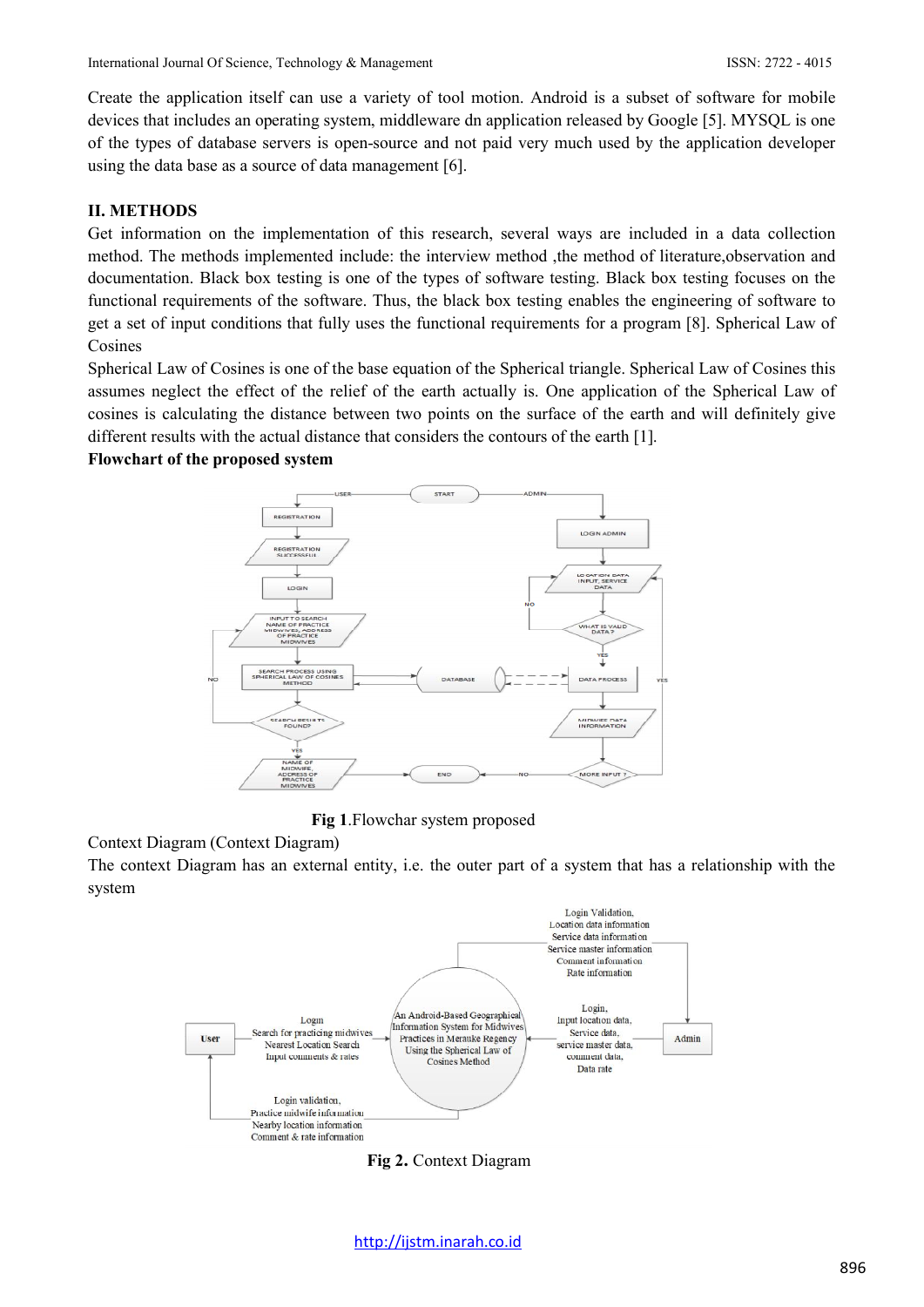Create the application itself can use a variety of tool motion. Android is a subset of software for mobile devices that includes an operating system, middleware dn application released by Google [5]. MYSQL is one of the types of database servers is open-source and not paid very much used by the application developer using the data base as a source of data management [6].

#### **II. METHODS**

Get information on the implementation of this research, several ways are included in a data collection method. The methods implemented include: the interview method ,the method of literature,observation and documentation. Black box testing is one of the types of software testing. Black box testing focuses on the functional requirements of the software. Thus, the black box testing enables the engineering of software to get a set of input conditions that fully uses the functional requirements for a program [8]. Spherical Law of Cosines

Spherical Law of Cosines is one of the base equation of the Spherical triangle. Spherical Law of Cosines this assumes neglect the effect of the relief of the earth actually is. One application of the Spherical Law of cosines is calculating the distance between two points on the surface of the earth and will definitely give different results with the actual distance that considers the contours of the earth [1].

#### **Flowchart of the proposed system**



**Fig 1**.Flowchar system proposed

# Context Diagram (Context Diagram)

The context Diagram has an external entity, i.e. the outer part of a system that has a relationship with the system



**Fig 2.** Context Diagram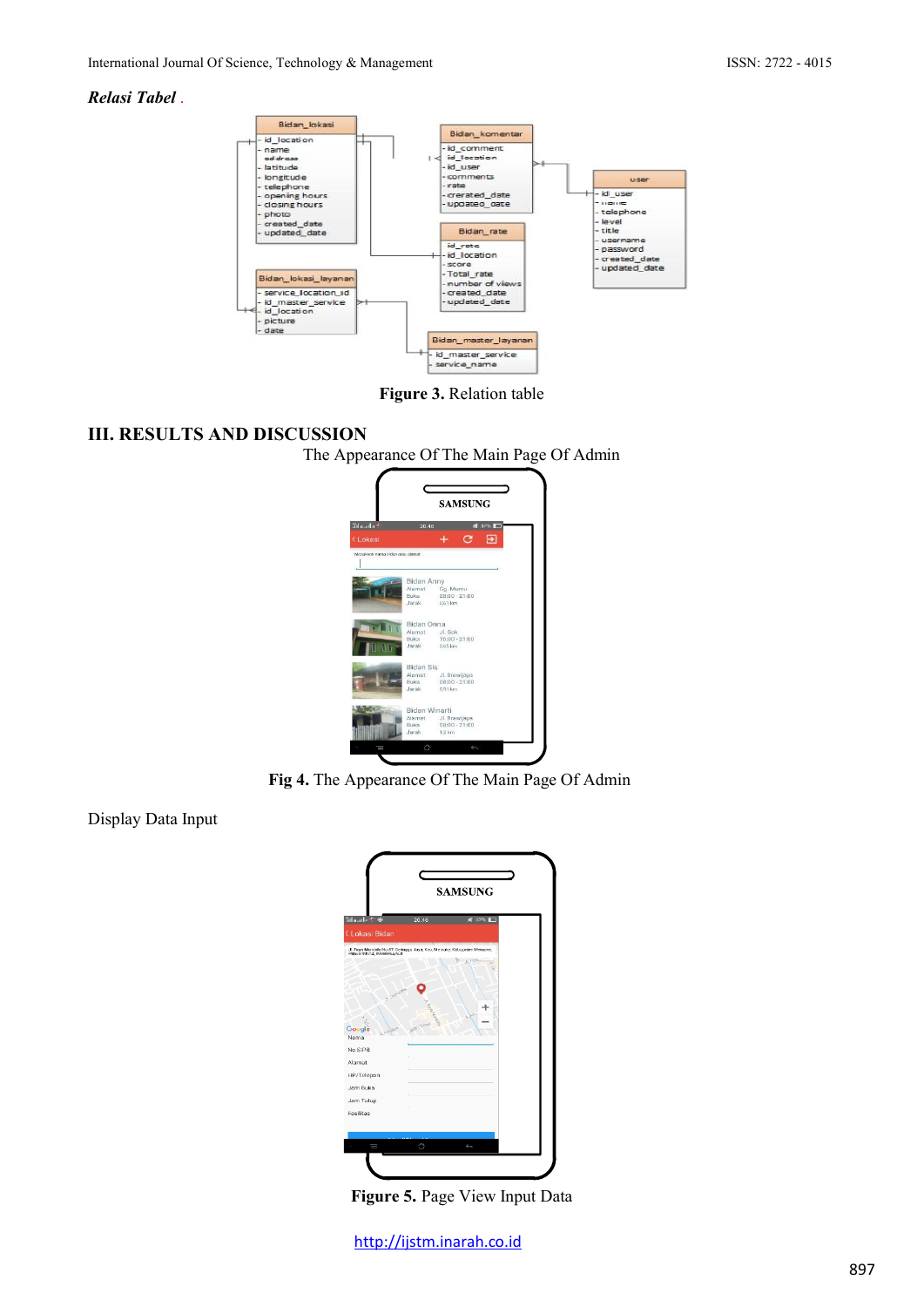### *Relasi Tabel* .



**Figure 3.** Relation table

# **III. RESULTS AND DISCUSSION**

The Appearance Of The Main Page Of Admin



**Fig 4.** The Appearance Of The Main Page Of Admin

Display Data Input



**Figure 5.** Page View Input Data

[http://ijstm.inarah.co.id](http://ijstm.inarah.co.id/index.php/ijstm/about/submissions)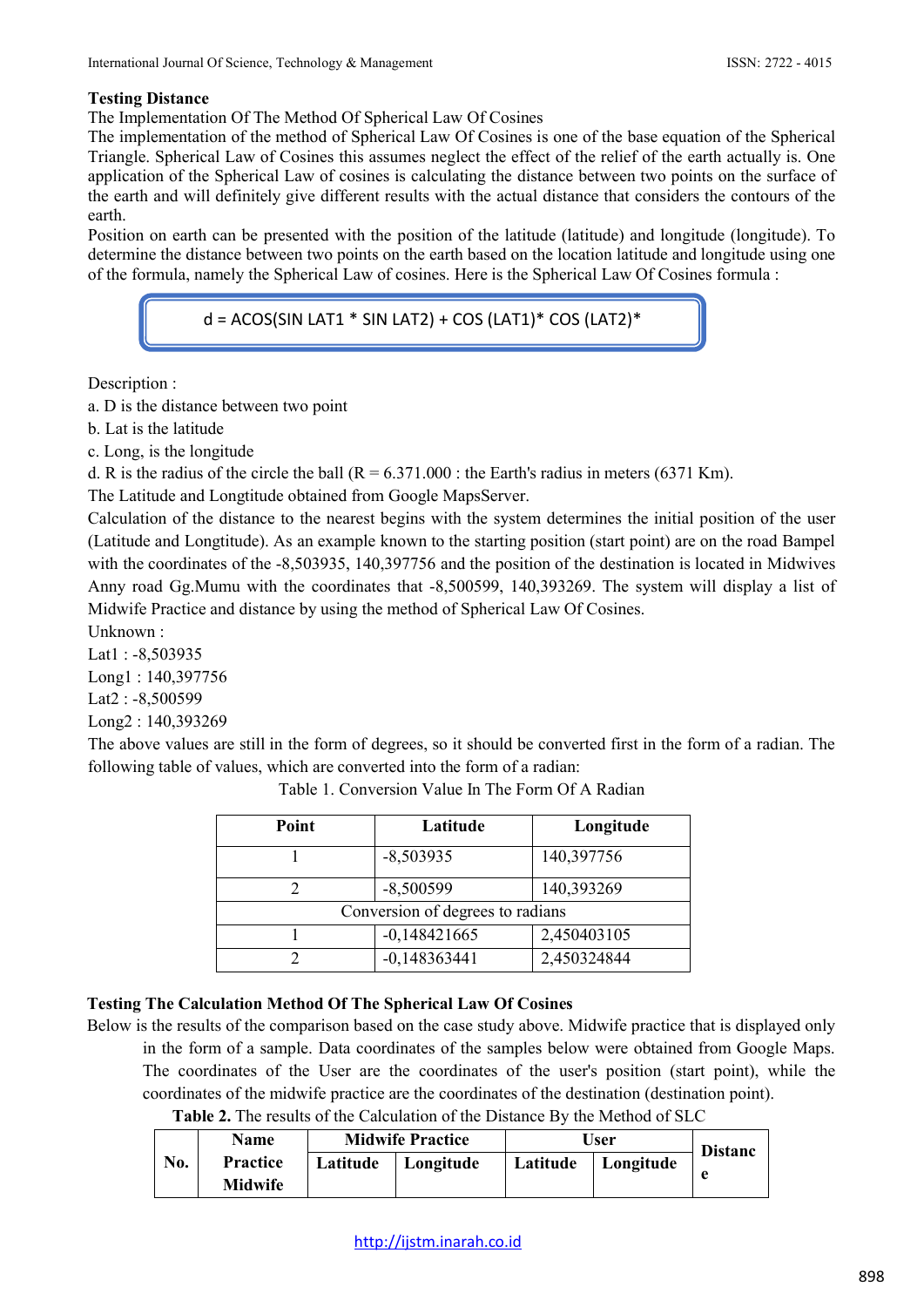# **Testing Distance**

The Implementation Of The Method Of Spherical Law Of Cosines

The implementation of the method of Spherical Law Of Cosines is one of the base equation of the Spherical Triangle. Spherical Law of Cosines this assumes neglect the effect of the relief of the earth actually is. One application of the Spherical Law of cosines is calculating the distance between two points on the surface of the earth and will definitely give different results with the actual distance that considers the contours of the earth.

Position on earth can be presented with the position of the latitude (latitude) and longitude (longitude). To determine the distance between two points on the earth based on the location latitude and longitude using one of the formula, namely the Spherical Law of cosines. Here is the Spherical Law Of Cosines formula :

 $d = ACOS(SIN LAT1 * SIN LAT2) + COS (LAT1)* COS (LAT2)*$ 

Description :

a. D is the distance between two point

b. Lat is the latitude

c. Long, is the longitude

d. R is the radius of the circle the ball  $(R = 6.371.000)$ : the Earth's radius in meters (6371 Km).

The Latitude and Longtitude obtained from Google MapsServer.

Calculation of the distance to the nearest begins with the system determines the initial position of the user (Latitude and Longtitude). As an example known to the starting position (start point) are on the road Bampel with the coordinates of the -8,503935, 140,397756 and the position of the destination is located in Midwives Anny road Gg.Mumu with the coordinates that -8,500599, 140,393269. The system will display a list of Midwife Practice and distance by using the method of Spherical Law Of Cosines.

Unknown :

Lat1 : -8,503935 Long1 : 140,397756 Lat2 : -8,500599 Long2 : 140,393269

The above values are still in the form of degrees, so it should be converted first in the form of a radian. The following table of values, which are converted into the form of a radian:

| Point                            | Latitude       | Longitude   |  |  |  |  |
|----------------------------------|----------------|-------------|--|--|--|--|
|                                  | $-8,503935$    | 140,397756  |  |  |  |  |
|                                  | $-8,500599$    | 140,393269  |  |  |  |  |
| Conversion of degrees to radians |                |             |  |  |  |  |
|                                  | $-0,148421665$ | 2,450403105 |  |  |  |  |
|                                  | $-0,148363441$ | 2,450324844 |  |  |  |  |

Table 1. Conversion Value In The Form Of A Radian

# **Testing The Calculation Method Of The Spherical Law Of Cosines**

Below is the results of the comparison based on the case study above. Midwife practice that is displayed only in the form of a sample. Data coordinates of the samples below were obtained from Google Maps. The coordinates of the User are the coordinates of the user's position (start point), while the

coordinates of the midwife practice are the coordinates of the destination (destination point).

| Table 2. The results of the Calculation of the Distance By the Method of SLC |
|------------------------------------------------------------------------------|
|------------------------------------------------------------------------------|

| Name |                                   | <b>Midwife Practice</b> |           | User     |           | <b>Distanc</b> |
|------|-----------------------------------|-------------------------|-----------|----------|-----------|----------------|
| No.  | <b>Practice</b><br><b>Midwife</b> | Latitude                | Longitude | Latitude | Longitude |                |